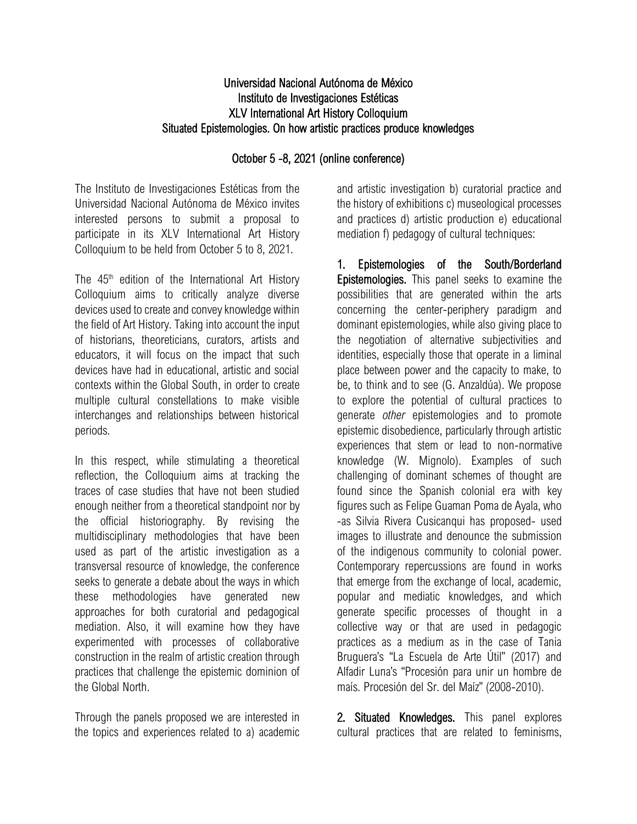## Universidad Nacional Autónoma de México Instituto de Investigaciones Estéticas XLV International Art History Colloquium Situated Epistemologies. On how artistic practices produce knowledges

# October 5 -8, 2021 (online conference)

The Instituto de Investigaciones Estéticas from the Universidad Nacional Autónoma de México invites interested persons to submit a proposal to participate in its XLV International Art History Colloquium to be held from October 5 to 8, 2021.

The  $45<sup>th</sup>$  edition of the International Art History Colloquium aims to critically analyze diverse devices used to create and convey knowledge within the field of Art History. Taking into account the input of historians, theoreticians, curators, artists and educators, it will focus on the impact that such devices have had in educational, artistic and social contexts within the Global South, in order to create multiple cultural constellations to make visible interchanges and relationships between historical periods.

In this respect, while stimulating a theoretical reflection, the Colloquium aims at tracking the traces of case studies that have not been studied enough neither from a theoretical standpoint nor by the official historiography. By revising the multidisciplinary methodologies that have been used as part of the artistic investigation as a transversal resource of knowledge, the conference seeks to generate a debate about the ways in which these methodologies have generated new approaches for both curatorial and pedagogical mediation. Also, it will examine how they have experimented with processes of collaborative construction in the realm of artistic creation through practices that challenge the epistemic dominion of the Global North.

Through the panels proposed we are interested in the topics and experiences related to a) academic and artistic investigation b) curatorial practice and the history of exhibitions c) museological processes and practices d) artistic production e) educational mediation f) pedagogy of cultural techniques:

1. Epistemologies of the South/Borderland Epistemologies. This panel seeks to examine the possibilities that are generated within the arts concerning the center-periphery paradigm and dominant epistemologies, while also giving place to the negotiation of alternative subjectivities and identities, especially those that operate in a liminal place between power and the capacity to make, to be, to think and to see (G. Anzaldúa). We propose to explore the potential of cultural practices to generate *other* epistemologies and to promote epistemic disobedience, particularly through artistic experiences that stem or lead to non-normative knowledge (W. Mignolo). Examples of such challenging of dominant schemes of thought are found since the Spanish colonial era with key figures such as Felipe Guaman Poma de Ayala, who -as Silvia Rivera Cusicanqui has proposed- used images to illustrate and denounce the submission of the indigenous community to colonial power. Contemporary repercussions are found in works that emerge from the exchange of local, academic, popular and mediatic knowledges, and which generate specific processes of thought in a collective way or that are used in pedagogic practices as a medium as in the case of Tania Bruguera's "La Escuela de Arte Útil" (2017) and Alfadir Luna's "Procesión para unir un hombre de maís. Procesión del Sr. del Maíz" (2008-2010).

2. Situated Knowledges. This panel explores cultural practices that are related to feminisms,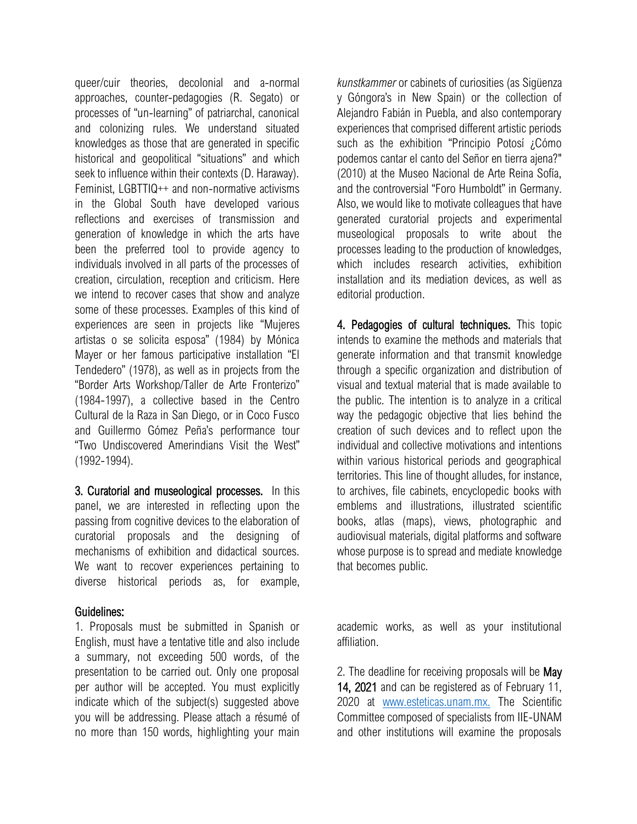queer/cuir theories, decolonial and a-normal approaches, counter-pedagogies (R. Segato) or processes of "un-learning" of patriarchal, canonical and colonizing rules. We understand situated knowledges as those that are generated in specific historical and geopolitical "situations" and which seek to influence within their contexts (D. Haraway). Feminist, LGBTTIQ++ and non-normative activisms in the Global South have developed various reflections and exercises of transmission and generation of knowledge in which the arts have been the preferred tool to provide agency to individuals involved in all parts of the processes of creation, circulation, reception and criticism. Here we intend to recover cases that show and analyze some of these processes. Examples of this kind of experiences are seen in projects like "Mujeres artistas o se solicita esposa" (1984) by Mónica Mayer or her famous participative installation "El Tendedero" (1978), as well as in projects from the "Border Arts Workshop/Taller de Arte Fronterizo" (1984-1997), a collective based in the Centro Cultural de la Raza in San Diego, or in Coco Fusco and Guillermo Gómez Peña's performance tour "Two Undiscovered Amerindians Visit the West" (1992-1994).

3. Curatorial and museological processes. In this panel, we are interested in reflecting upon the passing from cognitive devices to the elaboration of curatorial proposals and the designing of mechanisms of exhibition and didactical sources. We want to recover experiences pertaining to diverse historical periods as, for example,

### Guidelines:

1. Proposals must be submitted in Spanish or English, must have a tentative title and also include a summary, not exceeding 500 words, of the presentation to be carried out. Only one proposal per author will be accepted. You must explicitly indicate which of the subject(s) suggested above you will be addressing. Please attach a résumé of no more than 150 words, highlighting your main

*kunstkammer* or cabinets of curiosities (as Sigüenza y Góngora's in New Spain) or the collection of Alejandro Fabián in Puebla, and also contemporary experiences that comprised different artistic periods such as the exhibition "Principio Potosí ¿Cómo podemos cantar el canto del Señor en tierra ajena?" (2010) at the Museo Nacional de Arte Reina Sofía, and the controversial "Foro Humboldt" in Germany. Also, we would like to motivate colleagues that have generated curatorial projects and experimental museological proposals to write about the processes leading to the production of knowledges, which includes research activities, exhibition installation and its mediation devices, as well as editorial production.

4. Pedagogies of cultural techniques. This topic intends to examine the methods and materials that generate information and that transmit knowledge through a specific organization and distribution of visual and textual material that is made available to the public. The intention is to analyze in a critical way the pedagogic objective that lies behind the creation of such devices and to reflect upon the individual and collective motivations and intentions within various historical periods and geographical territories. This line of thought alludes, for instance, to archives, file cabinets, encyclopedic books with emblems and illustrations, illustrated scientific books, atlas (maps), views, photographic and audiovisual materials, digital platforms and software whose purpose is to spread and mediate knowledge that becomes public.

academic works, as well as your institutional affiliation.

2. The deadline for receiving proposals will be May 14, 2021 and can be registered as of February 11, 2020 at [www.esteticas.unam.mx.](https://d.docs.live.net/92764346910774b2/Secretaría%20Técnica%202019%20CORRECTO/COLOQUIO%20INTERNACIONAL/XLV%20CIHA/www.esteticas.unam.mx.) The Scientific Committee composed of specialists from IIE-UNAM and other institutions will examine the proposals